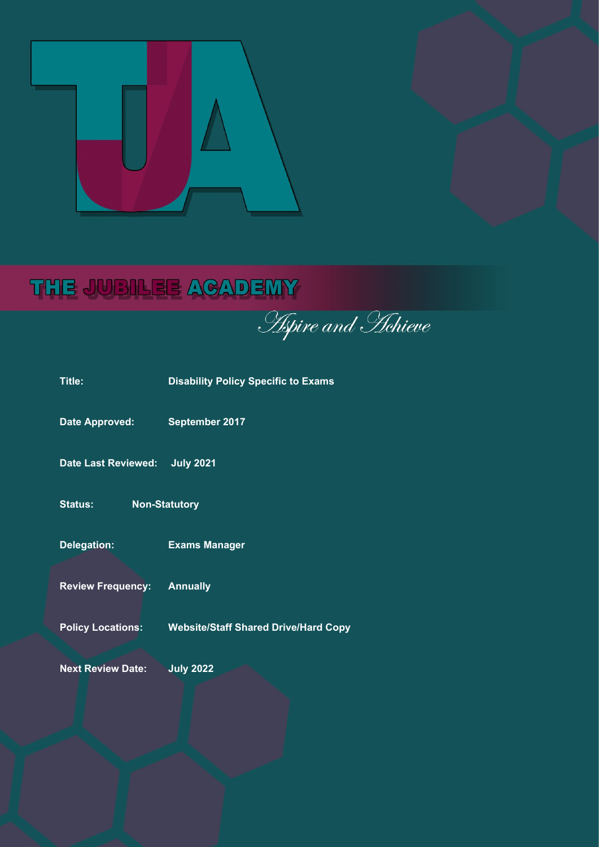<span id="page-0-0"></span>

# THE JUBILEE ACADEMY

**Apire and Hehieve** 

| Title:                                 | <b>Disability Policy Specific to Exams</b>  |  |
|----------------------------------------|---------------------------------------------|--|
| <b>Date Approved:</b>                  | September 2017                              |  |
| Date Last Reviewed:                    | <b>July 2021</b>                            |  |
| <b>Status:</b><br><b>Non-Statutory</b> |                                             |  |
| <b>Delegation:</b>                     | <b>Exams Manager</b>                        |  |
| <b>Review Frequency:</b>               | <b>Annually</b>                             |  |
| <b>Policy Locations:</b>               | <b>Website/Staff Shared Drive/Hard Copy</b> |  |
| <b>Next Review Date:</b>               | <b>July 2022</b>                            |  |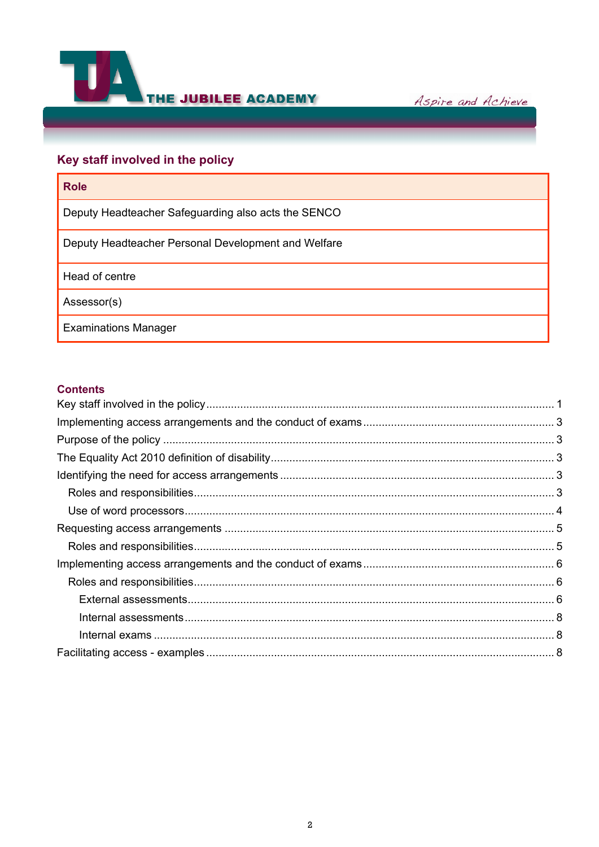



## Key staff involved in the policy

| <b>Role</b>                                         |  |  |
|-----------------------------------------------------|--|--|
| Deputy Headteacher Safeguarding also acts the SENCO |  |  |
| Deputy Headteacher Personal Development and Welfare |  |  |
| Head of centre                                      |  |  |
| Assessor(s)                                         |  |  |
| <b>Examinations Manager</b>                         |  |  |

## **Contents**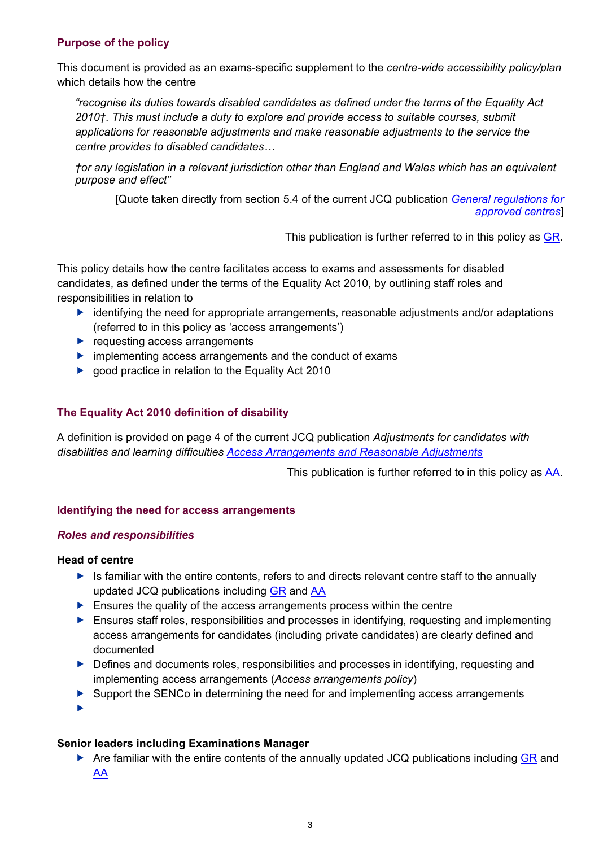## <span id="page-2-0"></span>**Purpose of the policy**

This document is provided as an exams-specific supplement to the *centre-wide accessibility policy/plan* which details how the centre

*"recognise its duties towards disabled candidates as defined under the terms of the Equality Act 2010†. This must include a duty to explore and provide access to suitable courses, submit applications for reasonable adjustments and make reasonable adjustments to the service the centre provides to disabled candidates…*

*†or any legislation in a relevant jurisdiction other than England and Wales which has an equivalent purpose and effect"*

[Quote taken directly from section 5.4 of the current JCQ publication *[General regulations for](http://www.jcq.org.uk/exams-office/general-regulations)  [approved centres](http://www.jcq.org.uk/exams-office/general-regulations)*]

This publication is further referred to in this policy as [GR.](http://www.jcq.org.uk/exams-office/general-regulations)

This policy details how the centre facilitates access to exams and assessments for disabled candidates, as defined under the terms of the Equality Act 2010, by outlining staff roles and responsibilities in relation to

- $\blacktriangleright$  identifying the need for appropriate arrangements, reasonable adjustments and/or adaptations (referred to in this policy as 'access arrangements')
- $\blacktriangleright$  requesting access arrangements
- $\blacktriangleright$  implementing access arrangements and the conduct of exams
- ▶ good practice in relation to the Equality Act 2010

## <span id="page-2-1"></span>**The Equality Act 2010 definition of disability**

A definition is provided on page 4 of the current JCQ publication *Adjustments for candidates with disabilities and learning difficulties [Access Arrangements and Reasonable Adjustments](http://www.jcq.org.uk/exams-office/access-arrangements-and-special-consideration/regulations-and-guidance)*

This publication is further referred to in this policy as [AA.](http://www.jcq.org.uk/exams-office/access-arrangements-and-special-consideration/regulations-and-guidance)

#### <span id="page-2-2"></span>**Identifying the need for access arrangements**

#### <span id="page-2-3"></span>*Roles and responsibilities*

#### **Head of centre**

- $\blacktriangleright$  Is familiar with the entire contents, refers to and directs relevant centre staff to the annually updated JCQ publications including [GR](http://www.jcq.org.uk/exams-office/general-regulations) and [AA](http://www.jcq.org.uk/exams-office/access-arrangements-and-special-consideration/regulations-and-guidance)
- $\blacktriangleright$  Ensures the quality of the access arrangements process within the centre
- Ensures staff roles, responsibilities and processes in identifying, requesting and implementing access arrangements for candidates (including private candidates) are clearly defined and documented
- ▶ Defines and documents roles, responsibilities and processes in identifying, requesting and implementing access arrangements (*Access arrangements policy*)
- ▶ Support the SENCo in determining the need for and implementing access arrangements
- $\blacktriangleright$

#### **Senior leaders including Examinations Manager**

Are familiar with the entire contents of the annually updated JCQ publications including [GR](http://www.jcq.org.uk/exams-office/general-regulations) and [AA](http://www.jcq.org.uk/exams-office/access-arrangements-and-special-consideration/regulations-and-guidance)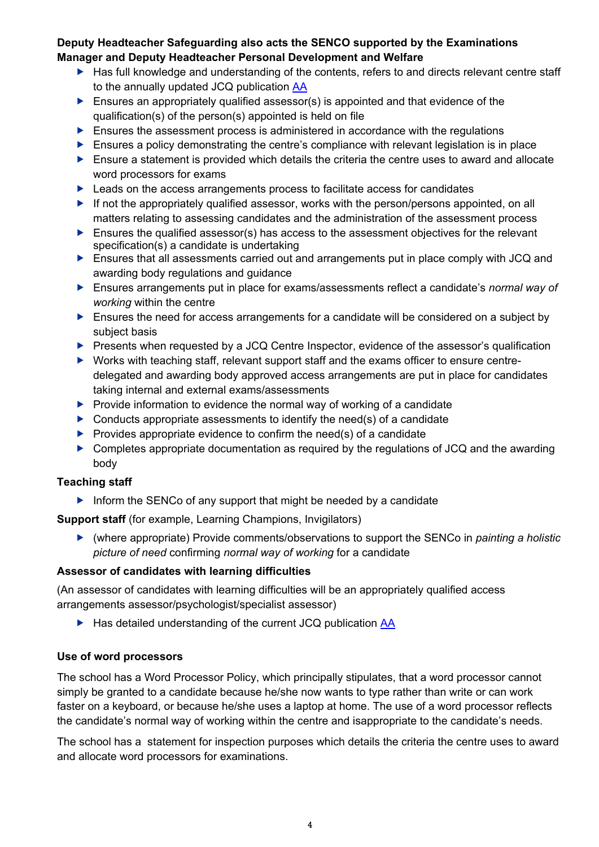## **Deputy Headteacher Safeguarding also acts the SENCO supported by the Examinations Manager and Deputy Headteacher Personal Development and Welfare**

- Has full knowledge and understanding of the contents, refers to and directs relevant centre staff to the annually updated JCQ publication [AA](http://www.jcq.org.uk/exams-office/access-arrangements-and-special-consideration/regulations-and-guidance)
- $\blacktriangleright$  Ensures an appropriately qualified assessor(s) is appointed and that evidence of the qualification(s) of the person(s) appointed is held on file
- Ensures the assessment process is administered in accordance with the regulations
- $\blacktriangleright$  Ensures a policy demonstrating the centre's compliance with relevant legislation is in place
- Ensure a statement is provided which details the criteria the centre uses to award and allocate word processors for exams
- $\blacktriangleright$  Leads on the access arrangements process to facilitate access for candidates
- ▶ If not the appropriately qualified assessor, works with the person/persons appointed, on all matters relating to assessing candidates and the administration of the assessment process
- Ensures the qualified assessor(s) has access to the assessment objectives for the relevant specification(s) a candidate is undertaking
- Ensures that all assessments carried out and arrangements put in place comply with JCQ and awarding body regulations and guidance
- Ensures arrangements put in place for exams/assessments reflect a candidate's *normal way of working* within the centre
- Ensures the need for access arrangements for a candidate will be considered on a subject by subject basis
- Presents when requested by a JCQ Centre Inspector, evidence of the assessor's qualification
- Works with teaching staff, relevant support staff and the exams officer to ensure centredelegated and awarding body approved access arrangements are put in place for candidates taking internal and external exams/assessments
- $\blacktriangleright$  Provide information to evidence the normal way of working of a candidate
- $\triangleright$  Conducts appropriate assessments to identify the need(s) of a candidate
- $\blacktriangleright$  Provides appropriate evidence to confirm the need(s) of a candidate
- ▶ Completes appropriate documentation as required by the regulations of JCQ and the awarding body

#### **Teaching staff**

Inform the SENCo of any support that might be needed by a candidate

**Support staff** (for example, Learning Champions, Invigilators)

 (where appropriate) Provide comments/observations to support the SENCo in *painting a holistic picture of need* confirming *normal way of working* for a candidate

#### **Assessor of candidates with learning difficulties**

(An assessor of candidates with learning difficulties will be an appropriately qualified access arrangements assessor/psychologist/specialist assessor)

▶ Has detailed understanding of the current JCQ publication [AA](http://www.jcq.org.uk/exams-office/access-arrangements-and-special-consideration/regulations-and-guidance)

#### <span id="page-3-0"></span>**Use of word processors**

The school has a Word Processor Policy, which principally stipulates, that a word processor cannot simply be granted to a candidate because he/she now wants to type rather than write or can work faster on a keyboard, or because he/she uses a laptop at home. The use of a word processor reflects the candidate's normal way of working within the centre and isappropriate to the candidate's needs.

<span id="page-3-1"></span>The school has a statement for inspection purposes which details the criteria the centre uses to award and allocate word processors for examinations.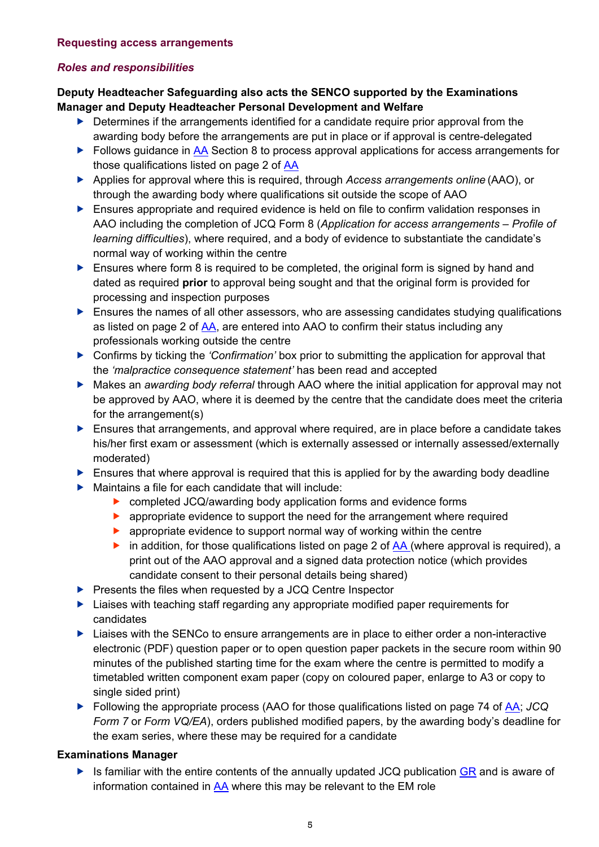## **Requesting access arrangements**

## <span id="page-4-0"></span>*Roles and responsibilities*

## **Deputy Headteacher Safeguarding also acts the SENCO supported by the Examinations Manager and Deputy Headteacher Personal Development and Welfare**

- ▶ Determines if the arrangements identified for a candidate require prior approval from the awarding body before the arrangements are put in place or if approval is centre-delegated
- $\triangleright$  Follows guidance in [AA](http://www.jcq.org.uk/exams-office/access-arrangements-and-special-consideration) Section 8 to process approval applications for access arrangements for those qualifications listed on page 2 of [AA](http://www.jcq.org.uk/exams-office/access-arrangements-and-special-consideration)
- Applies for approval where this is required, through *Access arrangements online* (AAO), or through the awarding body where qualifications sit outside the scope of AAO
- Ensures appropriate and required evidence is held on file to confirm validation responses in AAO including the completion of JCQ Form 8 (*Application for access arrangements – Profile of learning difficulties*), where required, and a body of evidence to substantiate the candidate's normal way of working within the centre
- Ensures where form 8 is required to be completed, the original form is signed by hand and dated as required **prior** to approval being sought and that the original form is provided for processing and inspection purposes
- $\blacktriangleright$  Ensures the names of all other assessors, who are assessing candidates studying qualifications as listed on page 2 of [AA,](http://www.jcq.org.uk/exams-office/access-arrangements-and-special-consideration) are entered into AAO to confirm their status including any professionals working outside the centre
- ▶ Confirms by ticking the *'Confirmation'* box prior to submitting the application for approval that the *'malpractice consequence statement'* has been read and accepted
- Makes an *awarding body referral* through AAO where the initial application for approval may not be approved by AAO, where it is deemed by the centre that the candidate does meet the criteria for the arrangement(s)
- Ensures that arrangements, and approval where required, are in place before a candidate takes his/her first exam or assessment (which is externally assessed or internally assessed/externally moderated)
- $\blacktriangleright$  Ensures that where approval is required that this is applied for by the awarding body deadline
- $\blacktriangleright$  Maintains a file for each candidate that will include:
	- ▶ completed JCQ/awarding body application forms and evidence forms
	- **EX** appropriate evidence to support the need for the arrangement where required
	- appropriate evidence to support normal way of working within the centre
	- in addition, for those qualifications listed on page 2 of  $AA$  (where approval is required), a print out of the AAO approval and a signed data protection notice (which provides candidate consent to their personal details being shared)
- $\triangleright$  Presents the files when requested by a JCQ Centre Inspector
- ▶ Liaises with teaching staff regarding any appropriate modified paper requirements for candidates
- ▶ Liaises with the SENCo to ensure arrangements are in place to either order a non-interactive electronic (PDF) question paper or to open question paper packets in the secure room within 90 minutes of the published starting time for the exam where the centre is permitted to modify a timetabled written component exam paper (copy on coloured paper, enlarge to A3 or copy to single sided print)
- Following the appropriate process (AAO for those qualifications listed on page 74 of [AA;](http://www.jcq.org.uk/exams-office/access-arrangements-and-special-consideration) *JCQ Form 7* or *Form VQ/EA*), orders published modified papers, by the awarding body's deadline for the exam series, where these may be required for a candidate

## **Examinations Manager**

Is familiar with the entire contents of the annually updated JCQ publication  $GR$  and is aware of information contained in  $\overline{AA}$  where this may be relevant to the EM role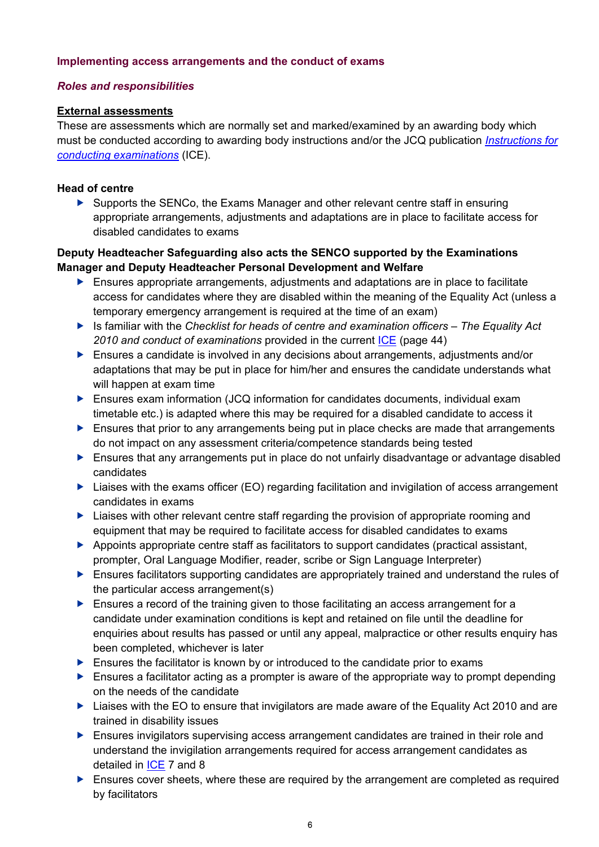#### <span id="page-5-0"></span>**Implementing access arrangements and the conduct of exams**

## <span id="page-5-1"></span>*Roles and responsibilities*

## <span id="page-5-2"></span>**External assessments**

These are assessments which are normally set and marked/examined by an awarding body which must be conducted according to awarding body instructions and/or the JCQ publication *[Instructions for](http://www.jcq.org.uk/exams-office/ice---instructions-for-conducting-examinations)  [conducting examinations](http://www.jcq.org.uk/exams-office/ice---instructions-for-conducting-examinations)* (ICE).

## **Head of centre**

 Supports the SENCo, the Exams Manager and other relevant centre staff in ensuring appropriate arrangements, adjustments and adaptations are in place to facilitate access for disabled candidates to exams

## **Deputy Headteacher Safeguarding also acts the SENCO supported by the Examinations Manager and Deputy Headteacher Personal Development and Welfare**

- Ensures appropriate arrangements, adjustments and adaptations are in place to facilitate access for candidates where they are disabled within the meaning of the Equality Act (unless a temporary emergency arrangement is required at the time of an exam)
- Is familiar with the *Checklist for heads of centre and examination officers – The Equality Act 2010 and conduct of examinations* provided in the current [ICE](http://www.jcq.org.uk/exams-office/ice---instructions-for-conducting-examinations) (page 44)
- ▶ Ensures a candidate is involved in any decisions about arrangements, adjustments and/or adaptations that may be put in place for him/her and ensures the candidate understands what will happen at exam time
- Ensures exam information (JCQ information for candidates documents, individual exam timetable etc.) is adapted where this may be required for a disabled candidate to access it
- Ensures that prior to any arrangements being put in place checks are made that arrangements do not impact on any assessment criteria/competence standards being tested
- Ensures that any arrangements put in place do not unfairly disadvantage or advantage disabled candidates
- ▶ Liaises with the exams officer (EO) regarding facilitation and invigilation of access arrangement candidates in exams
- $\blacktriangleright$  Liaises with other relevant centre staff regarding the provision of appropriate rooming and equipment that may be required to facilitate access for disabled candidates to exams
- $\blacktriangleright$  Appoints appropriate centre staff as facilitators to support candidates (practical assistant, prompter, Oral Language Modifier, reader, scribe or Sign Language Interpreter)
- Ensures facilitators supporting candidates are appropriately trained and understand the rules of the particular access arrangement(s)
- Ensures a record of the training given to those facilitating an access arrangement for a candidate under examination conditions is kept and retained on file until the deadline for enquiries about results has passed or until any appeal, malpractice or other results enquiry has been completed, whichever is later
- $\blacktriangleright$  Ensures the facilitator is known by or introduced to the candidate prior to exams
- $\blacktriangleright$  Ensures a facilitator acting as a prompter is aware of the appropriate way to prompt depending on the needs of the candidate
- ▶ Liaises with the EO to ensure that invigilators are made aware of the Equality Act 2010 and are trained in disability issues
- Ensures invigilators supervising access arrangement candidates are trained in their role and understand the invigilation arrangements required for access arrangement candidates as detailed in [ICE](http://www.jcq.org.uk/exams-office/ice---instructions-for-conducting-examinations) 7 and 8
- **Ensures cover sheets, where these are required by the arrangement are completed as required** by facilitators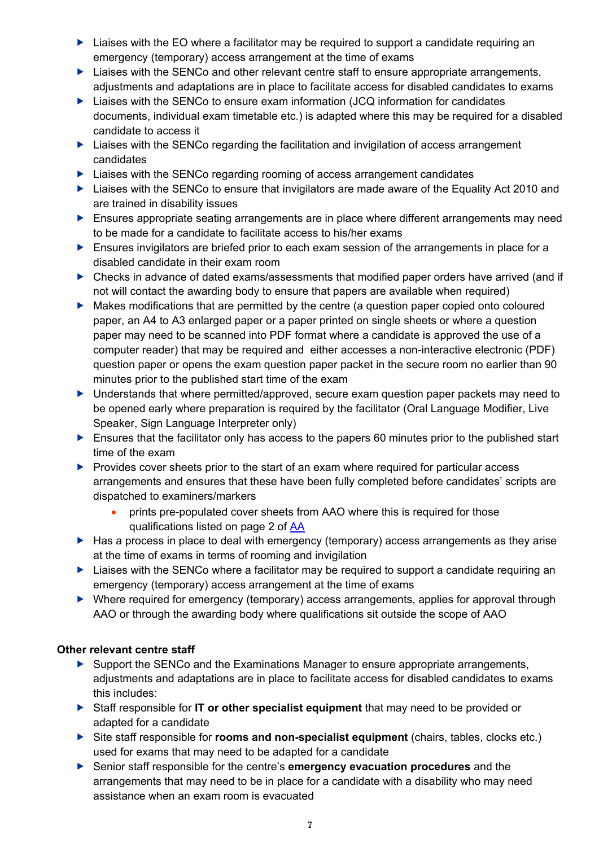- $\blacktriangleright$  Liaises with the EO where a facilitator may be required to support a candidate requiring an emergency (temporary) access arrangement at the time of exams
- ▶ Liaises with the SENCo and other relevant centre staff to ensure appropriate arrangements, adjustments and adaptations are in place to facilitate access for disabled candidates to exams
- ▶ Liaises with the SENCo to ensure exam information (JCQ information for candidates documents, individual exam timetable etc.) is adapted where this may be required for a disabled candidate to access it
- ▶ Liaises with the SENCo regarding the facilitation and invigilation of access arrangement candidates
- ▶ Liaises with the SENCo regarding rooming of access arrangement candidates
- ▶ Liaises with the SENCo to ensure that invigilators are made aware of the Equality Act 2010 and are trained in disability issues
- Ensures appropriate seating arrangements are in place where different arrangements may need to be made for a candidate to facilitate access to his/her exams
- Ensures invigilators are briefed prior to each exam session of the arrangements in place for a disabled candidate in their exam room
- ▶ Checks in advance of dated exams/assessments that modified paper orders have arrived (and if not will contact the awarding body to ensure that papers are available when required)
- ▶ Makes modifications that are permitted by the centre (a question paper copied onto coloured paper, an A4 to A3 enlarged paper or a paper printed on single sheets or where a question paper may need to be scanned into PDF format where a candidate is approved the use of a computer reader) that may be required and either accesses a non-interactive electronic (PDF) question paper or opens the exam question paper packet in the secure room no earlier than 90 minutes prior to the published start time of the exam
- ▶ Understands that where permitted/approved, secure exam question paper packets may need to be opened early where preparation is required by the facilitator (Oral Language Modifier, Live Speaker, Sign Language Interpreter only)
- Ensures that the facilitator only has access to the papers 60 minutes prior to the published start time of the exam
- Provides cover sheets prior to the start of an exam where required for particular access arrangements and ensures that these have been fully completed before candidates' scripts are dispatched to examiners/markers
	- prints pre-populated cover sheets from AAO where this is required for those qualifications listed on page 2 of [AA](http://www.jcq.org.uk/exams-office/access-arrangements-and-special-consideration)
- $\blacktriangleright$  Has a process in place to deal with emergency (temporary) access arrangements as they arise at the time of exams in terms of rooming and invigilation
- $\blacktriangleright$  Liaises with the SENCo where a facilitator may be required to support a candidate requiring an emergency (temporary) access arrangement at the time of exams
- ▶ Where required for emergency (temporary) access arrangements, applies for approval through AAO or through the awarding body where qualifications sit outside the scope of AAO

## **Other relevant centre staff**

- Support the SENCo and the Examinations Manager to ensure appropriate arrangements, adjustments and adaptations are in place to facilitate access for disabled candidates to exams this includes:
- Staff responsible for **IT or other specialist equipment** that may need to be provided or adapted for a candidate
- Site staff responsible for **rooms and non-specialist equipment** (chairs, tables, clocks etc.) used for exams that may need to be adapted for a candidate
- Senior staff responsible for the centre's **emergency evacuation procedures** and the arrangements that may need to be in place for a candidate with a disability who may need assistance when an exam room is evacuated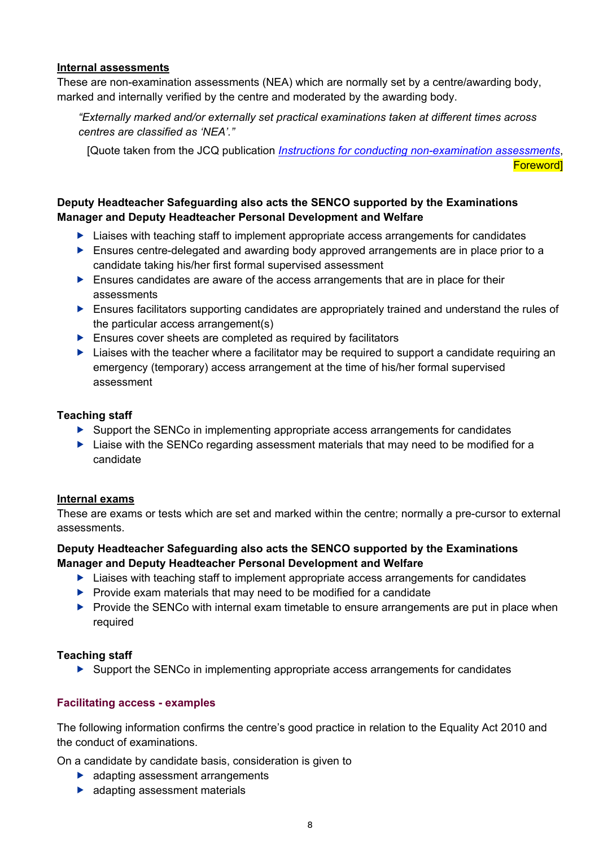### <span id="page-7-0"></span>**Internal assessments**

These are non-examination assessments (NEA) which are normally set by a centre/awarding body, marked and internally verified by the centre and moderated by the awarding body.

*"Externally marked and/or externally set practical examinations taken at different times across centres are classified as 'NEA'."*

[Quote taken from the JCQ publication *[Instructions for conducting non-examination assessments](http://www.jcq.org.uk/exams-office/non-examination-assessments)*, Foreword]

## **Deputy Headteacher Safeguarding also acts the SENCO supported by the Examinations Manager and Deputy Headteacher Personal Development and Welfare**

- ▶ Liaises with teaching staff to implement appropriate access arrangements for candidates
- Ensures centre-delegated and awarding body approved arrangements are in place prior to a candidate taking his/her first formal supervised assessment
- $\blacktriangleright$  Ensures candidates are aware of the access arrangements that are in place for their assessments
- Ensures facilitators supporting candidates are appropriately trained and understand the rules of the particular access arrangement(s)
- Ensures cover sheets are completed as required by facilitators
- $\blacktriangleright$  Liaises with the teacher where a facilitator may be required to support a candidate requiring an emergency (temporary) access arrangement at the time of his/her formal supervised assessment

## **Teaching staff**

- ▶ Support the SENCo in implementing appropriate access arrangements for candidates
- ▶ Liaise with the SENCo regarding assessment materials that may need to be modified for a candidate

#### <span id="page-7-1"></span>**Internal exams**

These are exams or tests which are set and marked within the centre; normally a pre-cursor to external assessments.

## **Deputy Headteacher Safeguarding also acts the SENCO supported by the Examinations Manager and Deputy Headteacher Personal Development and Welfare**

- ▶ Liaises with teaching staff to implement appropriate access arrangements for candidates
- $\blacktriangleright$  Provide exam materials that may need to be modified for a candidate
- $\blacktriangleright$  Provide the SENCo with internal exam timetable to ensure arrangements are put in place when required

#### **Teaching staff**

▶ Support the SENCo in implementing appropriate access arrangements for candidates

## <span id="page-7-2"></span>**Facilitating access - examples**

The following information confirms the centre's good practice in relation to the Equality Act 2010 and the conduct of examinations.

On a candidate by candidate basis, consideration is given to

- **adapting assessment arrangements**
- **A** adapting assessment materials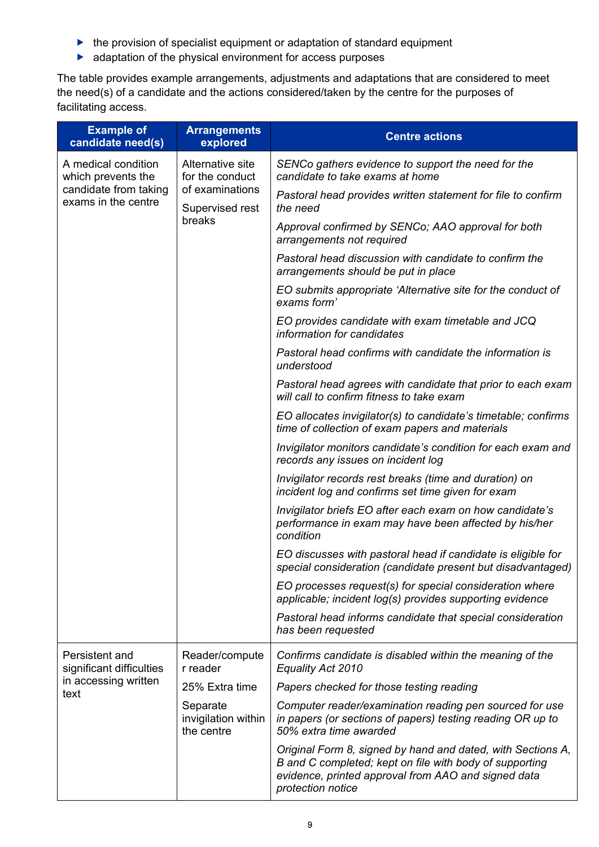- ▶ the provision of specialist equipment or adaptation of standard equipment
- **A** adaptation of the physical environment for access purposes

The table provides example arrangements, adjustments and adaptations that are considered to meet the need(s) of a candidate and the actions considered/taken by the centre for the purposes of facilitating access.

| <b>Example of</b><br>candidate need(s)                                                    | <b>Arrangements</b><br>explored                                                     | <b>Centre actions</b>                                                                                                                                                                              |
|-------------------------------------------------------------------------------------------|-------------------------------------------------------------------------------------|----------------------------------------------------------------------------------------------------------------------------------------------------------------------------------------------------|
| A medical condition<br>which prevents the<br>candidate from taking<br>exams in the centre | Alternative site<br>for the conduct<br>of examinations<br>Supervised rest<br>breaks | SENCo gathers evidence to support the need for the<br>candidate to take exams at home                                                                                                              |
|                                                                                           |                                                                                     | Pastoral head provides written statement for file to confirm<br>the need                                                                                                                           |
|                                                                                           |                                                                                     | Approval confirmed by SENCo; AAO approval for both<br>arrangements not required                                                                                                                    |
|                                                                                           |                                                                                     | Pastoral head discussion with candidate to confirm the<br>arrangements should be put in place                                                                                                      |
|                                                                                           |                                                                                     | EO submits appropriate 'Alternative site for the conduct of<br>exams form'                                                                                                                         |
|                                                                                           |                                                                                     | EO provides candidate with exam timetable and JCQ<br>information for candidates                                                                                                                    |
|                                                                                           |                                                                                     | Pastoral head confirms with candidate the information is<br>understood                                                                                                                             |
|                                                                                           |                                                                                     | Pastoral head agrees with candidate that prior to each exam<br>will call to confirm fitness to take exam                                                                                           |
|                                                                                           |                                                                                     | EO allocates invigilator(s) to candidate's timetable; confirms<br>time of collection of exam papers and materials                                                                                  |
|                                                                                           |                                                                                     | Invigilator monitors candidate's condition for each exam and<br>records any issues on incident log                                                                                                 |
|                                                                                           |                                                                                     | Invigilator records rest breaks (time and duration) on<br>incident log and confirms set time given for exam                                                                                        |
|                                                                                           |                                                                                     | Invigilator briefs EO after each exam on how candidate's<br>performance in exam may have been affected by his/her<br>condition                                                                     |
|                                                                                           |                                                                                     | EO discusses with pastoral head if candidate is eligible for<br>special consideration (candidate present but disadvantaged)                                                                        |
|                                                                                           |                                                                                     | EO processes request(s) for special consideration where<br>applicable; incident log(s) provides supporting evidence                                                                                |
|                                                                                           |                                                                                     | Pastoral head informs candidate that special consideration<br>has been requested                                                                                                                   |
| Persistent and<br>significant difficulties<br>in accessing written<br>text                | Reader/compute<br>r reader                                                          | Confirms candidate is disabled within the meaning of the<br>Equality Act 2010                                                                                                                      |
|                                                                                           | 25% Extra time                                                                      | Papers checked for those testing reading                                                                                                                                                           |
|                                                                                           | Separate<br>invigilation within<br>the centre                                       | Computer reader/examination reading pen sourced for use<br>in papers (or sections of papers) testing reading OR up to<br>50% extra time awarded                                                    |
|                                                                                           |                                                                                     | Original Form 8, signed by hand and dated, with Sections A,<br>B and C completed; kept on file with body of supporting<br>evidence, printed approval from AAO and signed data<br>protection notice |